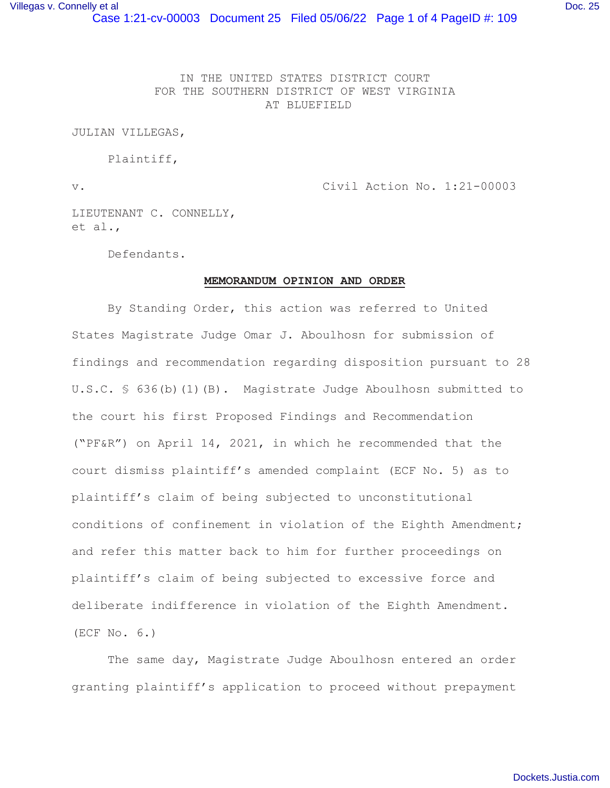IN THE UNITED STATES DISTRICT COURT FOR THE SOUTHERN DISTRICT OF WEST VIRGINIA AT BLUEFIELD

JULIAN VILLEGAS,

Plaintiff,

v. Civil Action No. 1:21-00003

LIEUTENANT C. CONNELLY, et al.,

Defendants.

## **MEMORANDUM OPINION AND ORDER**

 By Standing Order, this action was referred to United States Magistrate Judge Omar J. Aboulhosn for submission of findings and recommendation regarding disposition pursuant to 28 U.S.C. § 636(b)(1)(B). Magistrate Judge Aboulhosn submitted to the court his first Proposed Findings and Recommendation ("PF&R") on April 14, 2021, in which he recommended that the court dismiss plaintiff's amended complaint (ECF No. 5) as to plaintiff's claim of being subjected to unconstitutional conditions of confinement in violation of the Eighth Amendment; and refer this matter back to him for further proceedings on plaintiff's claim of being subjected to excessive force and deliberate indifference in violation of the Eighth Amendment. (ECF No. 6.)

 The same day, Magistrate Judge Aboulhosn entered an order granting plaintiff's application to proceed without prepayment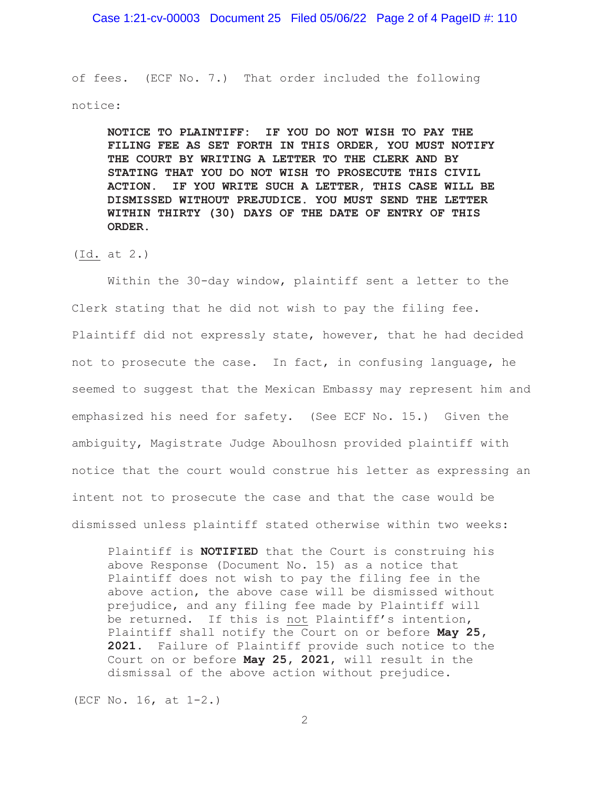Case 1:21-cv-00003 Document 25 Filed 05/06/22 Page 2 of 4 PageID #: 110

of fees. (ECF No. 7.) That order included the following notice:

**NOTICE TO PLAINTIFF: IF YOU DO NOT WISH TO PAY THE FILING FEE AS SET FORTH IN THIS ORDER, YOU MUST NOTIFY THE COURT BY WRITING A LETTER TO THE CLERK AND BY STATING THAT YOU DO NOT WISH TO PROSECUTE THIS CIVIL ACTION. IF YOU WRITE SUCH A LETTER, THIS CASE WILL BE DISMISSED WITHOUT PREJUDICE. YOU MUST SEND THE LETTER WITHIN THIRTY (30) DAYS OF THE DATE OF ENTRY OF THIS ORDER.** 

(Id. at 2.)

 Within the 30-day window, plaintiff sent a letter to the Clerk stating that he did not wish to pay the filing fee. Plaintiff did not expressly state, however, that he had decided not to prosecute the case. In fact, in confusing language, he seemed to suggest that the Mexican Embassy may represent him and emphasized his need for safety. (See ECF No. 15.) Given the ambiguity, Magistrate Judge Aboulhosn provided plaintiff with notice that the court would construe his letter as expressing an intent not to prosecute the case and that the case would be dismissed unless plaintiff stated otherwise within two weeks:

Plaintiff is **NOTIFIED** that the Court is construing his above Response (Document No. 15) as a notice that Plaintiff does not wish to pay the filing fee in the above action, the above case will be dismissed without prejudice, and any filing fee made by Plaintiff will be returned. If this is not Plaintiff's intention, Plaintiff shall notify the Court on or before **May 25, 2021**. Failure of Plaintiff provide such notice to the Court on or before **May 25, 2021**, will result in the dismissal of the above action without prejudice.

(ECF No. 16, at 1-2.)

2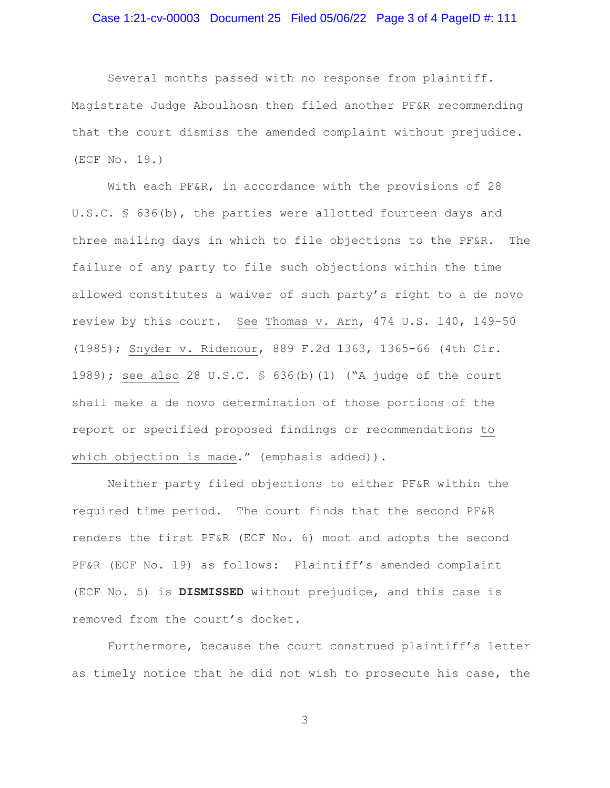## Case 1:21-cv-00003 Document 25 Filed 05/06/22 Page 3 of 4 PageID #: 111

 Several months passed with no response from plaintiff. Magistrate Judge Aboulhosn then filed another PF&R recommending that the court dismiss the amended complaint without prejudice. (ECF No. 19.)

With each PF&R, in accordance with the provisions of 28 U.S.C. § 636(b), the parties were allotted fourteen days and three mailing days in which to file objections to the PF&R. The failure of any party to file such objections within the time allowed constitutes a waiver of such party's right to a de novo review by this court. See Thomas v. Arn, 474 U.S. 140, 149-50 (1985); Snyder v. Ridenour, 889 F.2d 1363, 1365-66 (4th Cir. 1989); see also 28 U.S.C. § 636(b)(1) ("A judge of the court shall make a de novo determination of those portions of the report or specified proposed findings or recommendations to which objection is made." (emphasis added)).

 Neither party filed objections to either PF&R within the required time period. The court finds that the second PF&R renders the first PF&R (ECF No. 6) moot and adopts the second PF&R (ECF No. 19) as follows: Plaintiff's amended complaint (ECF No. 5) is **DISMISSED** without prejudice, and this case is removed from the court's docket.

 Furthermore, because the court construed plaintiff's letter as timely notice that he did not wish to prosecute his case, the

3